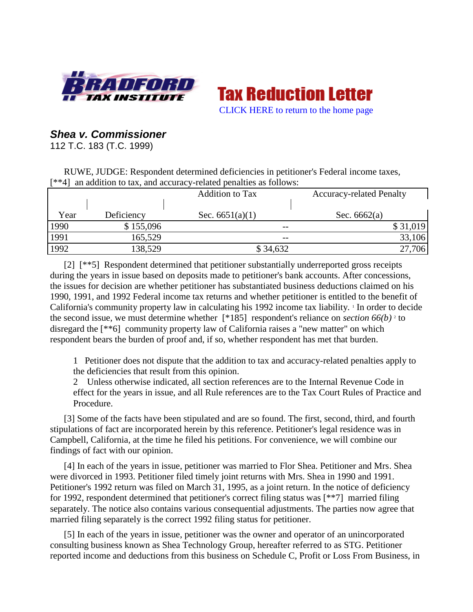

**Tax Reduction Letter** [CLICK HERE to return to the home page](http://bradfordtaxinstitute.com/index1.aspx)

# *Shea v. Commissioner*

112 T.C. 183 (T.C. 1999)

RUWE, JUDGE: Respondent determined deficiencies in petitioner's Federal income taxes, [\*\*4] an addition to tax, and accuracy-related penalties as follows:

|      |            | <b>Addition to Tax</b> | <b>Accuracy-related Penalty</b> |
|------|------------|------------------------|---------------------------------|
| Year | Deficiency | Sec. $6651(a)(1)$      | Sec. $6662(a)$                  |
| 1990 | \$155,096  | $- -$                  | \$31,019                        |
| 1991 | 165,529    | $- -$                  | 33,106                          |
| 1992 | 138,529    | \$34,632               | 27,706                          |

[2] [\*\*5] Respondent determined that petitioner substantially underreported gross receipts during the years in issue based on deposits made to petitioner's bank accounts. After concessions, the issues for decision are whether petitioner has substantiated business deductions claimed on his 1990, 1991, and 1992 Federal income tax returns and whether petitioner is entitled to the benefit of California's community property law in calculating his 1992 income tax liability. *In order to decide* the second issue, we must determine whether  $[ *185]$  respondent's reliance on *section* 66(b)<sup>2</sup> to disregard the [\*\*6] community property law of California raises a "new matter" on which respondent bears the burden of proof and, if so, whether respondent has met that burden.

1 Petitioner does not dispute that the addition to tax and accuracy-related penalties apply to the deficiencies that result from this opinion.

2 Unless otherwise indicated, all section references are to the Internal Revenue Code in effect for the years in issue, and all Rule references are to the Tax Court Rules of Practice and Procedure.

[3] Some of the facts have been stipulated and are so found. The first, second, third, and fourth stipulations of fact are incorporated herein by this reference. Petitioner's legal residence was in Campbell, California, at the time he filed his petitions. For convenience, we will combine our findings of fact with our opinion.

[4] In each of the years in issue, petitioner was married to Flor Shea. Petitioner and Mrs. Shea were divorced in 1993. Petitioner filed timely joint returns with Mrs. Shea in 1990 and 1991. Petitioner's 1992 return was filed on March 31, 1995, as a joint return. In the notice of deficiency for 1992, respondent determined that petitioner's correct filing status was [\*\*7] married filing separately. The notice also contains various consequential adjustments. The parties now agree that married filing separately is the correct 1992 filing status for petitioner.

[5] In each of the years in issue, petitioner was the owner and operator of an unincorporated consulting business known as Shea Technology Group, hereafter referred to as STG. Petitioner reported income and deductions from this business on Schedule C, Profit or Loss From Business, in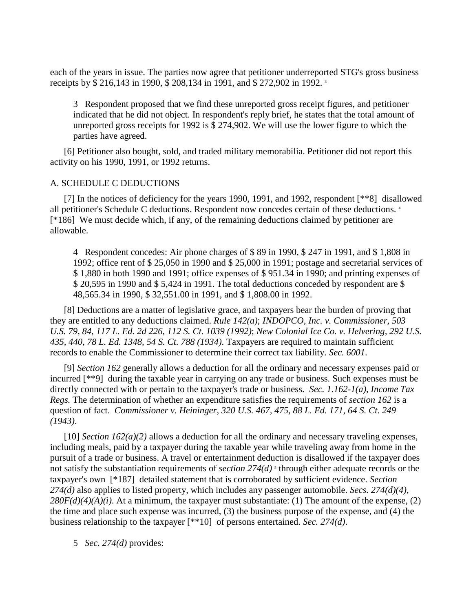each of the years in issue. The parties now agree that petitioner underreported STG's gross business receipts by \$ 216,143 in 1990, \$ 208,134 in 1991, and \$ 272,902 in 1992. <sup>3</sup>

3 Respondent proposed that we find these unreported gross receipt figures, and petitioner indicated that he did not object. In respondent's reply brief, he states that the total amount of unreported gross receipts for 1992 is \$ 274,902. We will use the lower figure to which the parties have agreed.

[6] Petitioner also bought, sold, and traded military memorabilia. Petitioner did not report this activity on his 1990, 1991, or 1992 returns.

## A. SCHEDULE C DEDUCTIONS

[7] In the notices of deficiency for the years 1990, 1991, and 1992, respondent [\*\*8] disallowed all petitioner's Schedule C deductions. Respondent now concedes certain of these deductions. 4 [\*186] We must decide which, if any, of the remaining deductions claimed by petitioner are allowable.

4 Respondent concedes: Air phone charges of \$ 89 in 1990, \$ 247 in 1991, and \$ 1,808 in 1992; office rent of \$ 25,050 in 1990 and \$ 25,000 in 1991; postage and secretarial services of \$ 1,880 in both 1990 and 1991; office expenses of \$ 951.34 in 1990; and printing expenses of \$ 20,595 in 1990 and \$ 5,424 in 1991. The total deductions conceded by respondent are \$ 48,565.34 in 1990, \$ 32,551.00 in 1991, and \$ 1,808.00 in 1992.

[8] Deductions are a matter of legislative grace, and taxpayers bear the burden of proving that they are entitled to any deductions claimed. *Rule 142(a)*; *INDOPCO, Inc. v. Commissioner, 503 U.S. 79, 84, 117 L. Ed. 2d 226, 112 S. Ct. 1039 (1992)*; *New Colonial Ice Co. v. Helvering, 292 U.S. 435, 440, 78 L. Ed. 1348, 54 S. Ct. 788 (1934)*. Taxpayers are required to maintain sufficient records to enable the Commissioner to determine their correct tax liability. *Sec. 6001*.

[9] *Section 162* generally allows a deduction for all the ordinary and necessary expenses paid or incurred [\*\*9] during the taxable year in carrying on any trade or business. Such expenses must be directly connected with or pertain to the taxpayer's trade or business. *Sec. 1.162-1(a), Income Tax Regs.* The determination of whether an expenditure satisfies the requirements of *section 162* is a question of fact. *Commissioner v. Heininger, 320 U.S. 467, 475, 88 L. Ed. 171, 64 S. Ct. 249 (1943)*.

[10] *Section 162(a)(2)* allows a deduction for all the ordinary and necessary traveling expenses, including meals, paid by a taxpayer during the taxable year while traveling away from home in the pursuit of a trade or business. A travel or entertainment deduction is disallowed if the taxpayer does not satisfy the substantiation requirements of *section* 274(d)<sup>5</sup> through either adequate records or the taxpayer's own [\*187] detailed statement that is corroborated by sufficient evidence. *Section 274(d)* also applies to listed property, which includes any passenger automobile. *Secs. 274(d)(4)*,  $280F(d)(4)(A)(i)$ . At a minimum, the taxpayer must substantiate: (1) The amount of the expense, (2) the time and place such expense was incurred, (3) the business purpose of the expense, and (4) the business relationship to the taxpayer [\*\*10] of persons entertained. *Sec. 274(d)*.

5 *Sec. 274(d)* provides: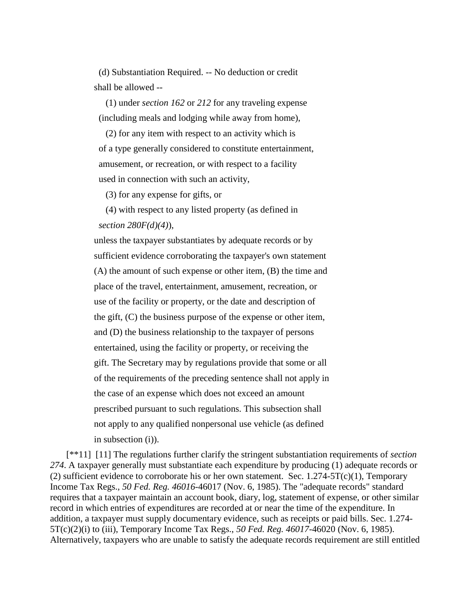(d) Substantiation Required. -- No deduction or credit shall be allowed --

 (1) under *section 162* or *212* for any traveling expense (including meals and lodging while away from home),

 (2) for any item with respect to an activity which is of a type generally considered to constitute entertainment, amusement, or recreation, or with respect to a facility used in connection with such an activity,

(3) for any expense for gifts, or

 (4) with respect to any listed property (as defined in *section 280F(d)(4)*),

 unless the taxpayer substantiates by adequate records or by sufficient evidence corroborating the taxpayer's own statement (A) the amount of such expense or other item, (B) the time and place of the travel, entertainment, amusement, recreation, or use of the facility or property, or the date and description of the gift, (C) the business purpose of the expense or other item, and (D) the business relationship to the taxpayer of persons entertained, using the facility or property, or receiving the gift. The Secretary may by regulations provide that some or all of the requirements of the preceding sentence shall not apply in the case of an expense which does not exceed an amount prescribed pursuant to such regulations. This subsection shall not apply to any qualified nonpersonal use vehicle (as defined in subsection (i)).

[\*\*11] [11] The regulations further clarify the stringent substantiation requirements of *section 274*. A taxpayer generally must substantiate each expenditure by producing (1) adequate records or (2) sufficient evidence to corroborate his or her own statement. Sec.  $1.274-5T(c)(1)$ , Temporary Income Tax Regs., *50 Fed. Reg. 46016*-46017 (Nov. 6, 1985). The "adequate records" standard requires that a taxpayer maintain an account book, diary, log, statement of expense, or other similar record in which entries of expenditures are recorded at or near the time of the expenditure. In addition, a taxpayer must supply documentary evidence, such as receipts or paid bills. Sec. 1.274- 5T(c)(2)(i) to (iii), Temporary Income Tax Regs., *50 Fed. Reg. 46017*-46020 (Nov. 6, 1985). Alternatively, taxpayers who are unable to satisfy the adequate records requirement are still entitled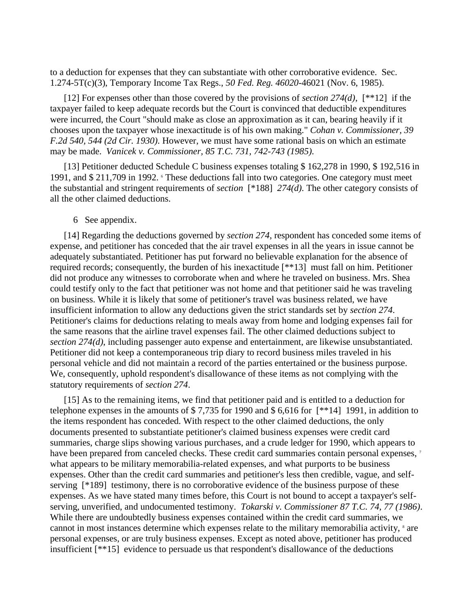to a deduction for expenses that they can substantiate with other corroborative evidence. Sec. 1.274-5T(c)(3), Temporary Income Tax Regs., *50 Fed. Reg. 46020*-46021 (Nov. 6, 1985).

[12] For expenses other than those covered by the provisions of *section 274(d)*, [\*\*12] if the taxpayer failed to keep adequate records but the Court is convinced that deductible expenditures were incurred, the Court "should make as close an approximation as it can, bearing heavily if it chooses upon the taxpayer whose inexactitude is of his own making." *Cohan v. Commissioner, 39 F.2d 540, 544 (2d Cir. 1930)*. However, we must have some rational basis on which an estimate may be made. *Vanicek v. Commissioner, 85 T.C. 731, 742-743 (1985)*.

[13] Petitioner deducted Schedule C business expenses totaling \$ 162,278 in 1990, \$ 192,516 in 1991, and \$ 211,709 in 1992. These deductions fall into two categories. One category must meet the substantial and stringent requirements of *section* [\*188] *274(d)*. The other category consists of all the other claimed deductions.

#### 6 See appendix.

[14] Regarding the deductions governed by *section 274*, respondent has conceded some items of expense, and petitioner has conceded that the air travel expenses in all the years in issue cannot be adequately substantiated. Petitioner has put forward no believable explanation for the absence of required records; consequently, the burden of his inexactitude [\*\*13] must fall on him. Petitioner did not produce any witnesses to corroborate when and where he traveled on business. Mrs. Shea could testify only to the fact that petitioner was not home and that petitioner said he was traveling on business. While it is likely that some of petitioner's travel was business related, we have insufficient information to allow any deductions given the strict standards set by *section 274*. Petitioner's claims for deductions relating to meals away from home and lodging expenses fail for the same reasons that the airline travel expenses fail. The other claimed deductions subject to *section 274(d)*, including passenger auto expense and entertainment, are likewise unsubstantiated. Petitioner did not keep a contemporaneous trip diary to record business miles traveled in his personal vehicle and did not maintain a record of the parties entertained or the business purpose. We, consequently, uphold respondent's disallowance of these items as not complying with the statutory requirements of *section 274*.

[15] As to the remaining items, we find that petitioner paid and is entitled to a deduction for telephone expenses in the amounts of \$ 7,735 for 1990 and \$ 6,616 for [\*\*14] 1991, in addition to the items respondent has conceded. With respect to the other claimed deductions, the only documents presented to substantiate petitioner's claimed business expenses were credit card summaries, charge slips showing various purchases, and a crude ledger for 1990, which appears to have been prepared from canceled checks. These credit card summaries contain personal expenses, 7 what appears to be military memorabilia-related expenses, and what purports to be business expenses. Other than the credit card summaries and petitioner's less then credible, vague, and selfserving [\*189] testimony, there is no corroborative evidence of the business purpose of these expenses. As we have stated many times before, this Court is not bound to accept a taxpayer's selfserving, unverified, and undocumented testimony. *Tokarski v. Commissioner 87 T.C. 74, 77 (1986)*. While there are undoubtedly business expenses contained within the credit card summaries, we cannot in most instances determine which expenses relate to the military memorabilia activity,  $\delta$  are personal expenses, or are truly business expenses. Except as noted above, petitioner has produced insufficient [\*\*15] evidence to persuade us that respondent's disallowance of the deductions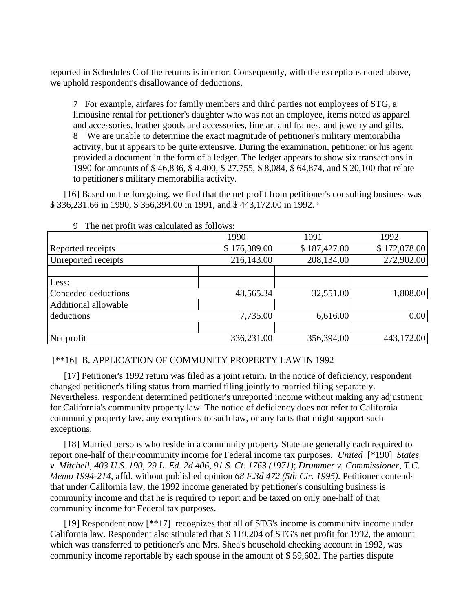reported in Schedules C of the returns is in error. Consequently, with the exceptions noted above, we uphold respondent's disallowance of deductions.

7 For example, airfares for family members and third parties not employees of STG, a limousine rental for petitioner's daughter who was not an employee, items noted as apparel and accessories, leather goods and accessories, fine art and frames, and jewelry and gifts. 8 We are unable to determine the exact magnitude of petitioner's military memorabilia activity, but it appears to be quite extensive. During the examination, petitioner or his agent provided a document in the form of a ledger. The ledger appears to show six transactions in 1990 for amounts of \$ 46,836, \$ 4,400, \$ 27,755, \$ 8,084, \$ 64,874, and \$ 20,100 that relate to petitioner's military memorabilia activity.

[16] Based on the foregoing, we find that the net profit from petitioner's consulting business was \$ 336,231.66 in 1990, \$ 356,394.00 in 1991, and \$ 443,172.00 in 1992. 9

| $\overline{\phantom{a}}$<br>THE THE PLOTIC WAS CALCULATED AS TOHOWS. |              |              |              |
|----------------------------------------------------------------------|--------------|--------------|--------------|
|                                                                      | 1990         | 1991         | 1992         |
| Reported receipts                                                    | \$176,389.00 | \$187,427.00 | \$172,078.00 |
| Unreported receipts                                                  | 216,143.00   | 208,134.00   | 272,902.00   |
|                                                                      |              |              |              |
| Less:                                                                |              |              |              |
| Conceded deductions                                                  | 48,565.34    | 32,551.00    | 1,808.00     |
| Additional allowable                                                 |              |              |              |
| deductions                                                           | 7,735.00     | 6,616.00     | 0.00         |
|                                                                      |              |              |              |
| Net profit                                                           | 336,231.00   | 356,394.00   | 443,172.00   |

9 The net profit was calculated as follows:

[\*\*16] B. APPLICATION OF COMMUNITY PROPERTY LAW IN 1992

[17] Petitioner's 1992 return was filed as a joint return. In the notice of deficiency, respondent changed petitioner's filing status from married filing jointly to married filing separately. Nevertheless, respondent determined petitioner's unreported income without making any adjustment for California's community property law. The notice of deficiency does not refer to California community property law, any exceptions to such law, or any facts that might support such exceptions.

[18] Married persons who reside in a community property State are generally each required to report one-half of their community income for Federal income tax purposes. *United* [\*190] *States v. Mitchell, 403 U.S. 190, 29 L. Ed. 2d 406, 91 S. Ct. 1763 (1971)*; *Drummer v. Commissioner, T.C. Memo 1994-214*, affd. without published opinion *68 F.3d 472 (5th Cir. 1995)*. Petitioner contends that under California law, the 1992 income generated by petitioner's consulting business is community income and that he is required to report and be taxed on only one-half of that community income for Federal tax purposes.

[19] Respondent now [\*\*17] recognizes that all of STG's income is community income under California law. Respondent also stipulated that \$ 119,204 of STG's net profit for 1992, the amount which was transferred to petitioner's and Mrs. Shea's household checking account in 1992, was community income reportable by each spouse in the amount of \$ 59,602. The parties dispute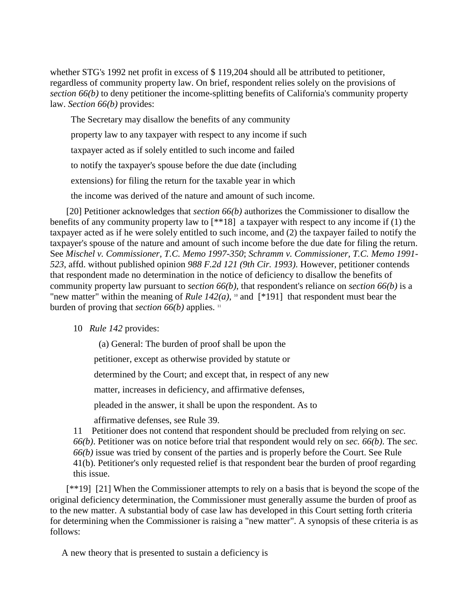whether STG's 1992 net profit in excess of \$ 119,204 should all be attributed to petitioner, regardless of community property law. On brief, respondent relies solely on the provisions of *section 66(b)* to deny petitioner the income-splitting benefits of California's community property law. *Section 66(b)* provides:

 The Secretary may disallow the benefits of any community property law to any taxpayer with respect to any income if such taxpayer acted as if solely entitled to such income and failed to notify the taxpayer's spouse before the due date (including extensions) for filing the return for the taxable year in which the income was derived of the nature and amount of such income.

[20] Petitioner acknowledges that *section 66(b)* authorizes the Commissioner to disallow the benefits of any community property law to [\*\*18] a taxpayer with respect to any income if (1) the taxpayer acted as if he were solely entitled to such income, and (2) the taxpayer failed to notify the taxpayer's spouse of the nature and amount of such income before the due date for filing the return. See *Mischel v. Commissioner, T.C. Memo 1997-350*; *Schramm v. Commissioner, T.C. Memo 1991- 523*, affd. without published opinion *988 F.2d 121 (9th Cir. 1993)*. However, petitioner contends that respondent made no determination in the notice of deficiency to disallow the benefits of community property law pursuant to *section 66(b)*, that respondent's reliance on *section 66(b)* is a "new matter" within the meaning of *Rule 142(a)*,  $\text{d}$  and [\*191] that respondent must bear the burden of proving that *section 66(b)* applies. <sup>11</sup>

## 10 *Rule 142* provides:

(a) General: The burden of proof shall be upon the

petitioner, except as otherwise provided by statute or

determined by the Court; and except that, in respect of any new

matter, increases in deficiency, and affirmative defenses,

pleaded in the answer, it shall be upon the respondent. As to

affirmative defenses, see Rule 39.

11 Petitioner does not contend that respondent should be precluded from relying on *sec. 66(b)*. Petitioner was on notice before trial that respondent would rely on *sec. 66(b)*. The *sec. 66(b)* issue was tried by consent of the parties and is properly before the Court. See Rule 41(b). Petitioner's only requested relief is that respondent bear the burden of proof regarding this issue.

[\*\*19] [21] When the Commissioner attempts to rely on a basis that is beyond the scope of the original deficiency determination, the Commissioner must generally assume the burden of proof as to the new matter. A substantial body of case law has developed in this Court setting forth criteria for determining when the Commissioner is raising a "new matter". A synopsis of these criteria is as follows:

A new theory that is presented to sustain a deficiency is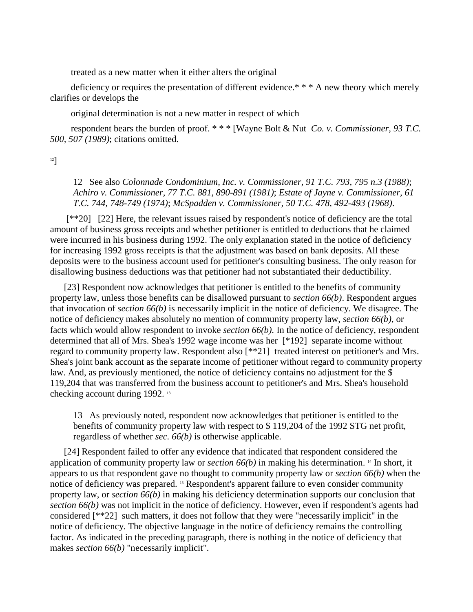treated as a new matter when it either alters the original

deficiency or requires the presentation of different evidence.\*\*\* A new theory which merely clarifies or develops the

original determination is not a new matter in respect of which

 respondent bears the burden of proof. \* \* \* [Wayne Bolt & Nut *Co. v. Commissioner, 93 T.C. 500, 507 (1989)*; citations omitted.

12]

12 See also *Colonnade Condominium, Inc. v. Commissioner, 91 T.C. 793, 795 n.3 (1988)*; *Achiro v. Commissioner, 77 T.C. 881, 890-891 (1981)*; *Estate of Jayne v. Commissioner, 61 T.C. 744, 748-749 (1974)*; *McSpadden v. Commissioner, 50 T.C. 478, 492-493 (1968)*.

[\*\*20] [22] Here, the relevant issues raised by respondent's notice of deficiency are the total amount of business gross receipts and whether petitioner is entitled to deductions that he claimed were incurred in his business during 1992. The only explanation stated in the notice of deficiency for increasing 1992 gross receipts is that the adjustment was based on bank deposits. All these deposits were to the business account used for petitioner's consulting business. The only reason for disallowing business deductions was that petitioner had not substantiated their deductibility.

[23] Respondent now acknowledges that petitioner is entitled to the benefits of community property law, unless those benefits can be disallowed pursuant to *section 66(b)*. Respondent argues that invocation of *section 66(b)* is necessarily implicit in the notice of deficiency. We disagree. The notice of deficiency makes absolutely no mention of community property law, *section 66(b)*, or facts which would allow respondent to invoke *section 66(b)*. In the notice of deficiency, respondent determined that all of Mrs. Shea's 1992 wage income was her [\*192] separate income without regard to community property law. Respondent also [\*\*21] treated interest on petitioner's and Mrs. Shea's joint bank account as the separate income of petitioner without regard to community property law. And, as previously mentioned, the notice of deficiency contains no adjustment for the \$ 119,204 that was transferred from the business account to petitioner's and Mrs. Shea's household checking account during 1992. <sup>13</sup>

13 As previously noted, respondent now acknowledges that petitioner is entitled to the benefits of community property law with respect to \$ 119,204 of the 1992 STG net profit, regardless of whether *sec. 66(b)* is otherwise applicable.

[24] Respondent failed to offer any evidence that indicated that respondent considered the application of community property law or *section 66(b)* in making his determination. <sup>14</sup> In short, it appears to us that respondent gave no thought to community property law or *section 66(b)* when the notice of deficiency was prepared. <sup>15</sup> Respondent's apparent failure to even consider community property law, or *section 66(b)* in making his deficiency determination supports our conclusion that *section 66(b)* was not implicit in the notice of deficiency. However, even if respondent's agents had considered [\*\*22] such matters, it does not follow that they were "necessarily implicit" in the notice of deficiency. The objective language in the notice of deficiency remains the controlling factor. As indicated in the preceding paragraph, there is nothing in the notice of deficiency that makes *section* 66(b) "necessarily implicit".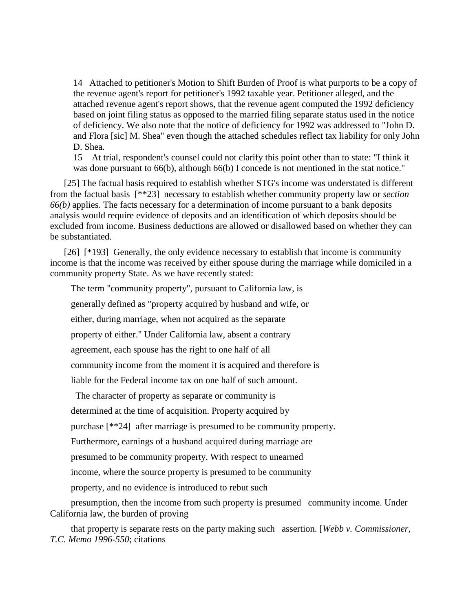14 Attached to petitioner's Motion to Shift Burden of Proof is what purports to be a copy of the revenue agent's report for petitioner's 1992 taxable year. Petitioner alleged, and the attached revenue agent's report shows, that the revenue agent computed the 1992 deficiency based on joint filing status as opposed to the married filing separate status used in the notice of deficiency. We also note that the notice of deficiency for 1992 was addressed to "John D. and Flora [sic] M. Shea" even though the attached schedules reflect tax liability for only John D. Shea.

15 At trial, respondent's counsel could not clarify this point other than to state: "I think it was done pursuant to 66(b), although 66(b) I concede is not mentioned in the stat notice."

[25] The factual basis required to establish whether STG's income was understated is different from the factual basis [\*\*23] necessary to establish whether community property law or *section 66(b)* applies. The facts necessary for a determination of income pursuant to a bank deposits analysis would require evidence of deposits and an identification of which deposits should be excluded from income. Business deductions are allowed or disallowed based on whether they can be substantiated.

[26] [\*193] Generally, the only evidence necessary to establish that income is community income is that the income was received by either spouse during the marriage while domiciled in a community property State. As we have recently stated:

The term "community property", pursuant to California law, is

generally defined as "property acquired by husband and wife, or

either, during marriage, when not acquired as the separate

property of either." Under California law, absent a contrary

agreement, each spouse has the right to one half of all

community income from the moment it is acquired and therefore is

liable for the Federal income tax on one half of such amount.

The character of property as separate or community is

determined at the time of acquisition. Property acquired by

purchase [\*\*24] after marriage is presumed to be community property.

Furthermore, earnings of a husband acquired during marriage are

presumed to be community property. With respect to unearned

income, where the source property is presumed to be community

property, and no evidence is introduced to rebut such

 presumption, then the income from such property is presumed community income. Under California law, the burden of proving

 that property is separate rests on the party making such assertion. [*Webb v. Commissioner, T.C. Memo 1996-550*; citations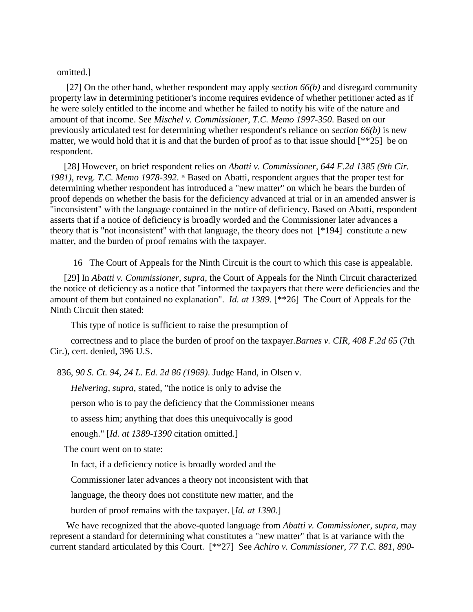## omitted.]

[27] On the other hand, whether respondent may apply *section 66(b)* and disregard community property law in determining petitioner's income requires evidence of whether petitioner acted as if he were solely entitled to the income and whether he failed to notify his wife of the nature and amount of that income. See *Mischel v. Commissioner, T.C. Memo 1997-350*. Based on our previously articulated test for determining whether respondent's reliance on *section 66(b)* is new matter, we would hold that it is and that the burden of proof as to that issue should [\*\*25] be on respondent.

[28] However, on brief respondent relies on *Abatti v. Commissioner, 644 F.2d 1385 (9th Cir.*  1981), revg. T.C. Memo 1978-392. <sup>16</sup> Based on Abatti, respondent argues that the proper test for determining whether respondent has introduced a "new matter" on which he bears the burden of proof depends on whether the basis for the deficiency advanced at trial or in an amended answer is "inconsistent" with the language contained in the notice of deficiency. Based on Abatti, respondent asserts that if a notice of deficiency is broadly worded and the Commissioner later advances a theory that is "not inconsistent" with that language, the theory does not [\*194] constitute a new matter, and the burden of proof remains with the taxpayer.

16 The Court of Appeals for the Ninth Circuit is the court to which this case is appealable.

[29] In *Abatti v. Commissioner, supra*, the Court of Appeals for the Ninth Circuit characterized the notice of deficiency as a notice that "informed the taxpayers that there were deficiencies and the amount of them but contained no explanation". *Id. at 1389*. [\*\*26] The Court of Appeals for the Ninth Circuit then stated:

This type of notice is sufficient to raise the presumption of

 correctness and to place the burden of proof on the taxpayer.*Barnes v. CIR, 408 F.2d 65* (7th Cir.), cert. denied, 396 U.S.

836, *90 S. Ct. 94, 24 L. Ed. 2d 86 (1969)*. Judge Hand, in Olsen v.

*Helvering, supra*, stated, "the notice is only to advise the

person who is to pay the deficiency that the Commissioner means

to assess him; anything that does this unequivocally is good

enough." [*Id. at 1389-1390* citation omitted.]

The court went on to state:

In fact, if a deficiency notice is broadly worded and the

Commissioner later advances a theory not inconsistent with that

language, the theory does not constitute new matter, and the

burden of proof remains with the taxpayer. [*Id. at 1390*.]

We have recognized that the above-quoted language from *Abatti v. Commissioner, supra*, may represent a standard for determining what constitutes a "new matter" that is at variance with the current standard articulated by this Court. [\*\*27] See *Achiro v. Commissioner, 77 T.C. 881, 890-*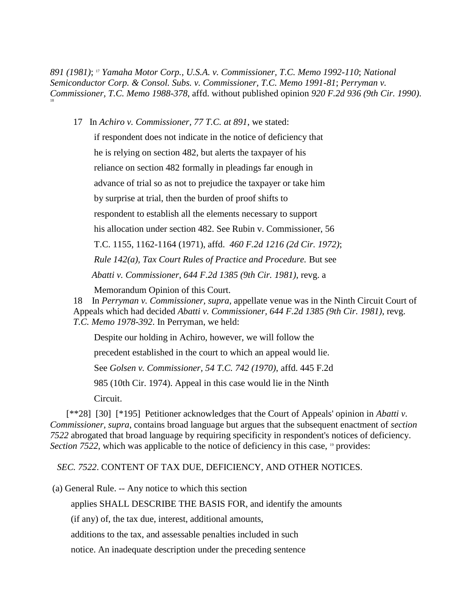*891 (1981)*; <sup>17</sup> *Yamaha Motor Corp., U.S.A. v. Commissioner, T.C. Memo 1992-110*; *National Semiconductor Corp. & Consol. Subs. v. Commissioner, T.C. Memo 1991-81*; *Perryman v. Commissioner, T.C. Memo 1988-378*, affd. without published opinion *920 F.2d 936 (9th Cir. 1990)*. 18

17 In *Achiro v. Commissioner, 77 T.C. at 891*, we stated:

 if respondent does not indicate in the notice of deficiency that he is relying on section 482, but alerts the taxpayer of his reliance on section 482 formally in pleadings far enough in advance of trial so as not to prejudice the taxpayer or take him by surprise at trial, then the burden of proof shifts to respondent to establish all the elements necessary to support his allocation under section 482. See Rubin v. Commissioner, 56 T.C. 1155, 1162-1164 (1971), affd. *460 F.2d 1216 (2d Cir. 1972)*; *Rule 142(a), Tax Court Rules of Practice and Procedure.* But see *Abatti v. Commissioner, 644 F.2d 1385 (9th Cir. 1981)*, revg. a

Memorandum Opinion of this Court.

18 In *Perryman v. Commissioner, supra*, appellate venue was in the Ninth Circuit Court of Appeals which had decided *Abatti v. Commissioner, 644 F.2d 1385 (9th Cir. 1981)*, revg. *T.C. Memo 1978-392*. In Perryman, we held:

Despite our holding in Achiro, however, we will follow the

precedent established in the court to which an appeal would lie.

See *Golsen v. Commissioner, 54 T.C. 742 (1970)*, affd. 445 F.2d

985 (10th Cir. 1974). Appeal in this case would lie in the Ninth

Circuit.

[\*\*28] [30] [\*195] Petitioner acknowledges that the Court of Appeals' opinion in *Abatti v. Commissioner, supra*, contains broad language but argues that the subsequent enactment of *section 7522* abrogated that broad language by requiring specificity in respondent's notices of deficiency. *Section 7522*, which was applicable to the notice of deficiency in this case, <sup>19</sup> provides:

*SEC. 7522*. CONTENT OF TAX DUE, DEFICIENCY, AND OTHER NOTICES.

(a) General Rule. -- Any notice to which this section

applies SHALL DESCRIBE THE BASIS FOR, and identify the amounts

(if any) of, the tax due, interest, additional amounts,

additions to the tax, and assessable penalties included in such

notice. An inadequate description under the preceding sentence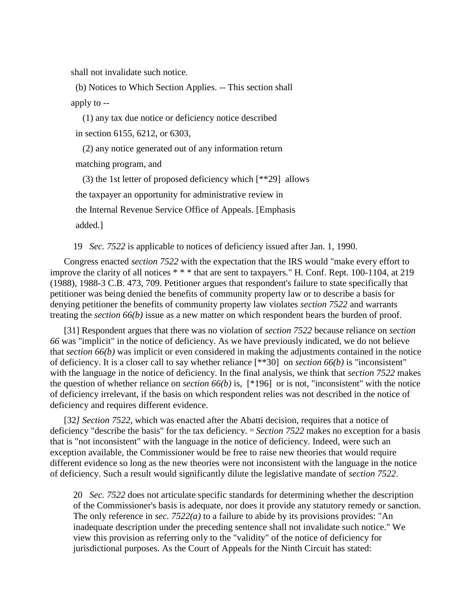shall not invalidate such notice.

 (b) Notices to Which Section Applies. -- This section shall apply to --

 (1) any tax due notice or deficiency notice described in section 6155, 6212, or 6303,

 (2) any notice generated out of any information return matching program, and

 (3) the 1st letter of proposed deficiency which [\*\*29] allows the taxpayer an opportunity for administrative review in the Internal Revenue Service Office of Appeals. [Emphasis added.]

19 *Sec. 7522* is applicable to notices of deficiency issued after Jan. 1, 1990.

Congress enacted *section 7522* with the expectation that the IRS would "make every effort to improve the clarity of all notices \* \* \* that are sent to taxpayers." H. Conf. Rept. 100-1104, at 219 (1988), 1988-3 C.B. 473, 709. Petitioner argues that respondent's failure to state specifically that petitioner was being denied the benefits of community property law or to describe a basis for denying petitioner the benefits of community property law violates *section 7522* and warrants treating the *section 66(b)* issue as a new matter on which respondent bears the burden of proof.

[31] Respondent argues that there was no violation of *section 7522* because reliance on *section 66* was "implicit" in the notice of deficiency. As we have previously indicated, we do not believe that *section 66(b)* was implicit or even considered in making the adjustments contained in the notice of deficiency. It is a closer call to say whether reliance [\*\*30] on *section 66(b)* is "inconsistent" with the language in the notice of deficiency. In the final analysis, we think that *section 7522* makes the question of whether reliance on *section 66(b)* is, [\*196] or is not, "inconsistent" with the notice of deficiency irrelevant, if the basis on which respondent relies was not described in the notice of deficiency and requires different evidence.

[32*] Section 7522*, which was enacted after the Abatti decision, requires that a notice of deficiency "describe the basis" for the tax deficiency. <sup>20</sup> *Section 7522* makes no exception for a basis that is "not inconsistent" with the language in the notice of deficiency. Indeed, were such an exception available, the Commissioner would be free to raise new theories that would require different evidence so long as the new theories were not inconsistent with the language in the notice of deficiency. Such a result would significantly dilute the legislative mandate of *section 7522*.

20 *Sec. 7522* does not articulate specific standards for determining whether the description of the Commissioner's basis is adequate, nor does it provide any statutory remedy or sanction. The only reference in *sec. 7522(a)* to a failure to abide by its provisions provides: "An inadequate description under the preceding sentence shall not invalidate such notice." We view this provision as referring only to the "validity" of the notice of deficiency for jurisdictional purposes. As the Court of Appeals for the Ninth Circuit has stated: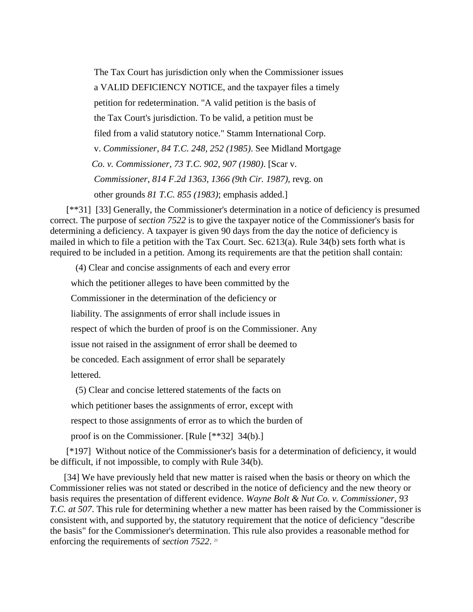The Tax Court has jurisdiction only when the Commissioner issues a VALID DEFICIENCY NOTICE, and the taxpayer files a timely petition for redetermination. "A valid petition is the basis of the Tax Court's jurisdiction. To be valid, a petition must be filed from a valid statutory notice." Stamm International Corp. v. *Commissioner, 84 T.C. 248, 252 (1985)*. See Midland Mortgage *Co. v. Commissioner, 73 T.C. 902, 907 (1980)*. [Scar v. *Commissioner, 814 F.2d 1363, 1366 (9th Cir. 1987)*, revg. on other grounds *81 T.C. 855 (1983)*; emphasis added.]

[\*\*31] [33] Generally, the Commissioner's determination in a notice of deficiency is presumed correct. The purpose of *section 7522* is to give the taxpayer notice of the Commissioner's basis for determining a deficiency. A taxpayer is given 90 days from the day the notice of deficiency is mailed in which to file a petition with the Tax Court. Sec. 6213(a). Rule 34(b) sets forth what is required to be included in a petition. Among its requirements are that the petition shall contain:

 (4) Clear and concise assignments of each and every error which the petitioner alleges to have been committed by the Commissioner in the determination of the deficiency or liability. The assignments of error shall include issues in respect of which the burden of proof is on the Commissioner. Any issue not raised in the assignment of error shall be deemed to be conceded. Each assignment of error shall be separately lettered.

(5) Clear and concise lettered statements of the facts on

which petitioner bases the assignments of error, except with

respect to those assignments of error as to which the burden of

proof is on the Commissioner. [Rule [\*\*32] 34(b).]

[\*197] Without notice of the Commissioner's basis for a determination of deficiency, it would be difficult, if not impossible, to comply with Rule 34(b).

[34] We have previously held that new matter is raised when the basis or theory on which the Commissioner relies was not stated or described in the notice of deficiency and the new theory or basis requires the presentation of different evidence. *Wayne Bolt & Nut Co. v. Commissioner, 93 T.C. at 507*. This rule for determining whether a new matter has been raised by the Commissioner is consistent with, and supported by, the statutory requirement that the notice of deficiency "describe the basis" for the Commissioner's determination. This rule also provides a reasonable method for enforcing the requirements of *section 7522*. 21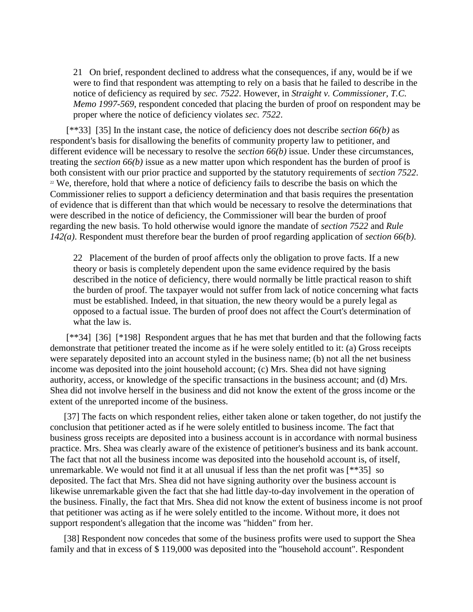21 On brief, respondent declined to address what the consequences, if any, would be if we were to find that respondent was attempting to rely on a basis that he failed to describe in the notice of deficiency as required by *sec. 7522*. However, in *Straight v. Commissioner, T.C. Memo 1997-569*, respondent conceded that placing the burden of proof on respondent may be proper where the notice of deficiency violates *sec. 7522*.

[\*\*33] [35] In the instant case, the notice of deficiency does not describe *section 66(b)* as respondent's basis for disallowing the benefits of community property law to petitioner, and different evidence will be necessary to resolve the *section 66(b)* issue. Under these circumstances, treating the *section 66(b)* issue as a new matter upon which respondent has the burden of proof is both consistent with our prior practice and supported by the statutory requirements of *section 7522*.  $22$  We, therefore, hold that where a notice of deficiency fails to describe the basis on which the Commissioner relies to support a deficiency determination and that basis requires the presentation of evidence that is different than that which would be necessary to resolve the determinations that were described in the notice of deficiency, the Commissioner will bear the burden of proof regarding the new basis. To hold otherwise would ignore the mandate of *section 7522* and *Rule 142(a)*. Respondent must therefore bear the burden of proof regarding application of *section 66(b)*.

22 Placement of the burden of proof affects only the obligation to prove facts. If a new theory or basis is completely dependent upon the same evidence required by the basis described in the notice of deficiency, there would normally be little practical reason to shift the burden of proof. The taxpayer would not suffer from lack of notice concerning what facts must be established. Indeed, in that situation, the new theory would be a purely legal as opposed to a factual issue. The burden of proof does not affect the Court's determination of what the law is.

[\*\*34] [36] [\*198] Respondent argues that he has met that burden and that the following facts demonstrate that petitioner treated the income as if he were solely entitled to it: (a) Gross receipts were separately deposited into an account styled in the business name; (b) not all the net business income was deposited into the joint household account; (c) Mrs. Shea did not have signing authority, access, or knowledge of the specific transactions in the business account; and (d) Mrs. Shea did not involve herself in the business and did not know the extent of the gross income or the extent of the unreported income of the business.

[37] The facts on which respondent relies, either taken alone or taken together, do not justify the conclusion that petitioner acted as if he were solely entitled to business income. The fact that business gross receipts are deposited into a business account is in accordance with normal business practice. Mrs. Shea was clearly aware of the existence of petitioner's business and its bank account. The fact that not all the business income was deposited into the household account is, of itself, unremarkable. We would not find it at all unusual if less than the net profit was [\*\*35] so deposited. The fact that Mrs. Shea did not have signing authority over the business account is likewise unremarkable given the fact that she had little day-to-day involvement in the operation of the business. Finally, the fact that Mrs. Shea did not know the extent of business income is not proof that petitioner was acting as if he were solely entitled to the income. Without more, it does not support respondent's allegation that the income was "hidden" from her.

[38] Respondent now concedes that some of the business profits were used to support the Shea family and that in excess of \$ 119,000 was deposited into the "household account". Respondent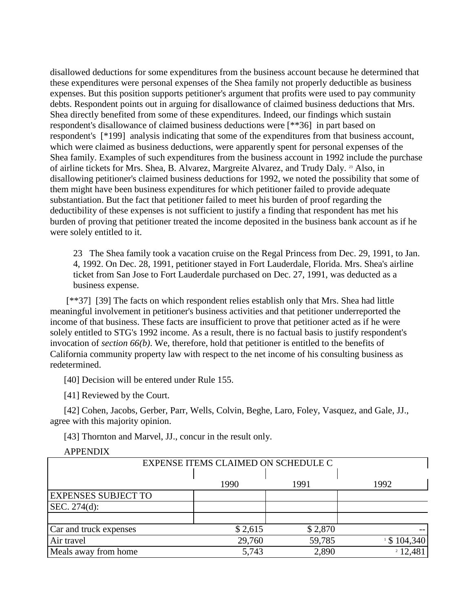disallowed deductions for some expenditures from the business account because he determined that these expenditures were personal expenses of the Shea family not properly deductible as business expenses. But this position supports petitioner's argument that profits were used to pay community debts. Respondent points out in arguing for disallowance of claimed business deductions that Mrs. Shea directly benefited from some of these expenditures. Indeed, our findings which sustain respondent's disallowance of claimed business deductions were [\*\*36] in part based on respondent's [\*199] analysis indicating that some of the expenditures from that business account, which were claimed as business deductions, were apparently spent for personal expenses of the Shea family. Examples of such expenditures from the business account in 1992 include the purchase of airline tickets for Mrs. Shea, B. Alvarez, Margreite Alvarez, and Trudy Daly. <sup>23</sup> Also, in disallowing petitioner's claimed business deductions for 1992, we noted the possibility that some of them might have been business expenditures for which petitioner failed to provide adequate substantiation. But the fact that petitioner failed to meet his burden of proof regarding the deductibility of these expenses is not sufficient to justify a finding that respondent has met his burden of proving that petitioner treated the income deposited in the business bank account as if he were solely entitled to it.

23 The Shea family took a vacation cruise on the Regal Princess from Dec. 29, 1991, to Jan. 4, 1992. On Dec. 28, 1991, petitioner stayed in Fort Lauderdale, Florida. Mrs. Shea's airline ticket from San Jose to Fort Lauderdale purchased on Dec. 27, 1991, was deducted as a business expense.

[\*\*37] [39] The facts on which respondent relies establish only that Mrs. Shea had little meaningful involvement in petitioner's business activities and that petitioner underreported the income of that business. These facts are insufficient to prove that petitioner acted as if he were solely entitled to STG's 1992 income. As a result, there is no factual basis to justify respondent's invocation of *section 66(b)*. We, therefore, hold that petitioner is entitled to the benefits of California community property law with respect to the net income of his consulting business as redetermined.

[40] Decision will be entered under Rule 155.

[41] Reviewed by the Court.

[42] Cohen, Jacobs, Gerber, Parr, Wells, Colvin, Beghe, Laro, Foley, Vasquez, and Gale, JJ., agree with this majority opinion.

[43] Thornton and Marvel, JJ., concur in the result only.

| EXPENSE ITEMS CLAIMED ON SCHEDULE C |         |         |                |  |  |
|-------------------------------------|---------|---------|----------------|--|--|
|                                     | 1990    | 1991    | 1992           |  |  |
| <b>EXPENSES SUBJECT TO</b>          |         |         |                |  |  |
| SEC. $274(d)$ :                     |         |         |                |  |  |
|                                     |         |         |                |  |  |
| Car and truck expenses              | \$2,615 | \$2,870 |                |  |  |
| Air travel                          | 29,760  | 59,785  | $1$ \$ 104,340 |  |  |
| Meals away from home                | 5,743   | 2,890   | 212,481        |  |  |

#### APPENDIX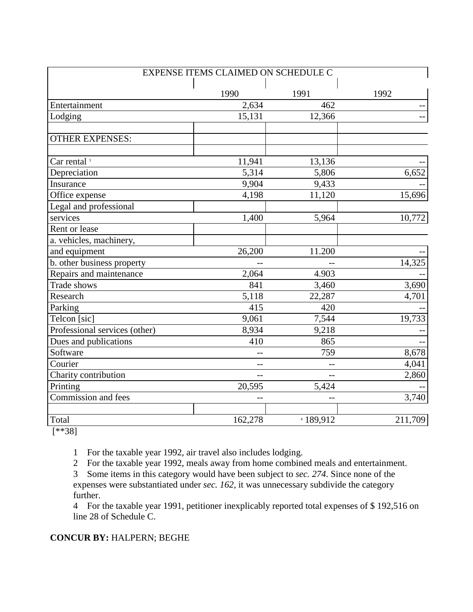| EXPENSE ITEMS CLAIMED ON SCHEDULE C |         |           |         |  |  |
|-------------------------------------|---------|-----------|---------|--|--|
|                                     |         |           |         |  |  |
|                                     | 1990    | 1991      | 1992    |  |  |
| Entertainment                       | 2,634   | 462       | --      |  |  |
| Lodging                             | 15,131  | 12,366    |         |  |  |
| <b>OTHER EXPENSES:</b>              |         |           |         |  |  |
|                                     |         |           |         |  |  |
| Car rental <sup>3</sup>             | 11,941  | 13,136    |         |  |  |
| Depreciation                        | 5,314   | 5,806     | 6,652   |  |  |
| Insurance                           | 9,904   | 9,433     |         |  |  |
| Office expense                      | 4,198   | 11,120    | 15,696  |  |  |
| Legal and professional              |         |           |         |  |  |
| services                            | 1,400   | 5,964     | 10,772  |  |  |
| Rent or lease                       |         |           |         |  |  |
| a. vehicles, machinery,             |         |           |         |  |  |
| and equipment                       | 26,200  | 11.200    |         |  |  |
| b. other business property          |         |           | 14,325  |  |  |
| Repairs and maintenance             | 2,064   | 4.903     |         |  |  |
| Trade shows                         | 841     | 3,460     | 3,690   |  |  |
| Research                            | 5,118   | 22,287    | 4,701   |  |  |
| Parking                             | 415     | 420       |         |  |  |
| Telcon [sic]                        | 9,061   | 7,544     | 19,733  |  |  |
| Professional services (other)       | 8,934   | 9,218     |         |  |  |
| Dues and publications               | 410     | 865       |         |  |  |
| Software                            |         | 759       | 8,678   |  |  |
| Courier                             | $-$     |           | 4,041   |  |  |
| Charity contribution                | $-$     | $-$       | 2,860   |  |  |
| Printing                            | 20,595  | 5,424     |         |  |  |
| Commission and fees                 |         |           | 3,740   |  |  |
|                                     |         |           |         |  |  |
| Total                               | 162,278 | 4 189,912 | 211,709 |  |  |

[\*\*38]

1 For the taxable year 1992, air travel also includes lodging.

2 For the taxable year 1992, meals away from home combined meals and entertainment.

3 Some items in this category would have been subject to *sec. 274*. Since none of the expenses were substantiated under *sec. 162*, it was unnecessary subdivide the category further.

4 For the taxable year 1991, petitioner inexplicably reported total expenses of \$ 192,516 on line 28 of Schedule C.

## **CONCUR BY:** HALPERN; BEGHE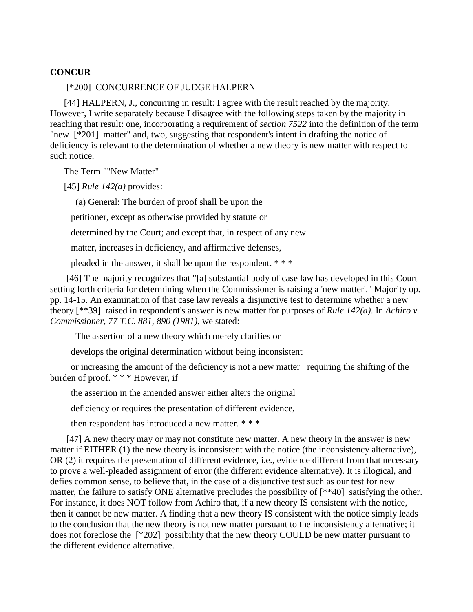## **CONCUR**

#### [\*200] CONCURRENCE OF JUDGE HALPERN

[44] HALPERN, J., concurring in result: I agree with the result reached by the majority. However, I write separately because I disagree with the following steps taken by the majority in reaching that result: one, incorporating a requirement of *section 7522* into the definition of the term "new [\*201] matter" and, two, suggesting that respondent's intent in drafting the notice of deficiency is relevant to the determination of whether a new theory is new matter with respect to such notice.

The Term ""New Matter"

[45] *Rule 142(a)* provides:

(a) General: The burden of proof shall be upon the

petitioner, except as otherwise provided by statute or

determined by the Court; and except that, in respect of any new

matter, increases in deficiency, and affirmative defenses,

pleaded in the answer, it shall be upon the respondent. \* \* \*

[46] The majority recognizes that "[a] substantial body of case law has developed in this Court setting forth criteria for determining when the Commissioner is raising a 'new matter'." Majority op. pp. 14-15. An examination of that case law reveals a disjunctive test to determine whether a new theory [\*\*39] raised in respondent's answer is new matter for purposes of *Rule 142(a)*. In *Achiro v. Commissioner, 77 T.C. 881, 890 (1981)*, we stated:

The assertion of a new theory which merely clarifies or

develops the original determination without being inconsistent

 or increasing the amount of the deficiency is not a new matter requiring the shifting of the burden of proof. \* \* \* However, if

the assertion in the amended answer either alters the original

deficiency or requires the presentation of different evidence,

then respondent has introduced a new matter. \* \* \*

[47] A new theory may or may not constitute new matter. A new theory in the answer is new matter if EITHER (1) the new theory is inconsistent with the notice (the inconsistency alternative), OR (2) it requires the presentation of different evidence, i.e., evidence different from that necessary to prove a well-pleaded assignment of error (the different evidence alternative). It is illogical, and defies common sense, to believe that, in the case of a disjunctive test such as our test for new matter, the failure to satisfy ONE alternative precludes the possibility of [\*\*40] satisfying the other. For instance, it does NOT follow from Achiro that, if a new theory IS consistent with the notice, then it cannot be new matter. A finding that a new theory IS consistent with the notice simply leads to the conclusion that the new theory is not new matter pursuant to the inconsistency alternative; it does not foreclose the [\*202] possibility that the new theory COULD be new matter pursuant to the different evidence alternative.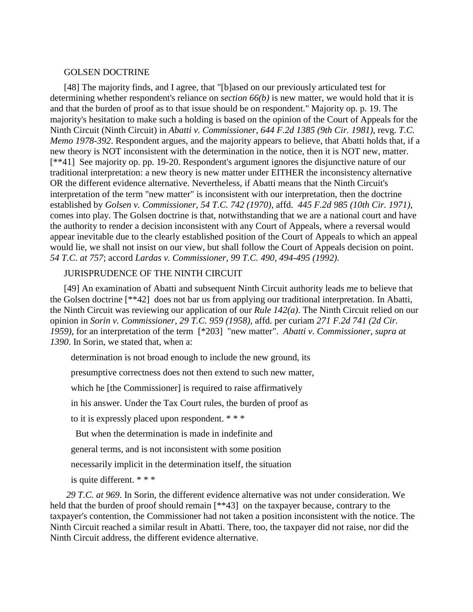#### GOLSEN DOCTRINE

[48] The majority finds, and I agree, that "[b]ased on our previously articulated test for determining whether respondent's reliance on *section 66(b)* is new matter, we would hold that it is and that the burden of proof as to that issue should be on respondent." Majority op. p. 19. The majority's hesitation to make such a holding is based on the opinion of the Court of Appeals for the Ninth Circuit (Ninth Circuit) in *Abatti v. Commissioner, 644 F.2d 1385 (9th Cir. 1981)*, revg. *T.C. Memo 1978-392*. Respondent argues, and the majority appears to believe, that Abatti holds that, if a new theory is NOT inconsistent with the determination in the notice, then it is NOT new, matter. [\*\*41] See majority op. pp. 19-20. Respondent's argument ignores the disjunctive nature of our traditional interpretation: a new theory is new matter under EITHER the inconsistency alternative OR the different evidence alternative. Nevertheless, if Abatti means that the Ninth Circuit's interpretation of the term "new matter" is inconsistent with our interpretation, then the doctrine established by *Golsen v. Commissioner, 54 T.C. 742 (1970)*, affd. *445 F.2d 985 (10th Cir. 1971)*, comes into play. The Golsen doctrine is that, notwithstanding that we are a national court and have the authority to render a decision inconsistent with any Court of Appeals, where a reversal would appear inevitable due to the clearly established position of the Court of Appeals to which an appeal would lie, we shall not insist on our view, but shall follow the Court of Appeals decision on point. *54 T.C. at 757*; accord *Lardas v. Commissioner, 99 T.C. 490, 494-495 (1992)*.

## JURISPRUDENCE OF THE NINTH CIRCUIT

[49] An examination of Abatti and subsequent Ninth Circuit authority leads me to believe that the Golsen doctrine [\*\*42] does not bar us from applying our traditional interpretation. In Abatti, the Ninth Circuit was reviewing our application of our *Rule 142(a)*. The Ninth Circuit relied on our opinion in *Sorin v. Commissioner, 29 T.C. 959 (1958)*, affd. per curiam *271 F.2d 741 (2d Cir. 1959)*, for an interpretation of the term [\*203] "new matter". *Abatti v. Commissioner, supra at 1390*. In Sorin, we stated that, when a:

determination is not broad enough to include the new ground, its

presumptive correctness does not then extend to such new matter,

which he [the Commissioner] is required to raise affirmatively

in his answer. Under the Tax Court rules, the burden of proof as

to it is expressly placed upon respondent. \* \* \*

But when the determination is made in indefinite and

general terms, and is not inconsistent with some position

necessarily implicit in the determination itself, the situation

is quite different. \* \* \*

*29 T.C. at 969*. In Sorin, the different evidence alternative was not under consideration. We held that the burden of proof should remain [\*\*43] on the taxpayer because, contrary to the taxpayer's contention, the Commissioner had not taken a position inconsistent with the notice. The Ninth Circuit reached a similar result in Abatti. There, too, the taxpayer did not raise, nor did the Ninth Circuit address, the different evidence alternative.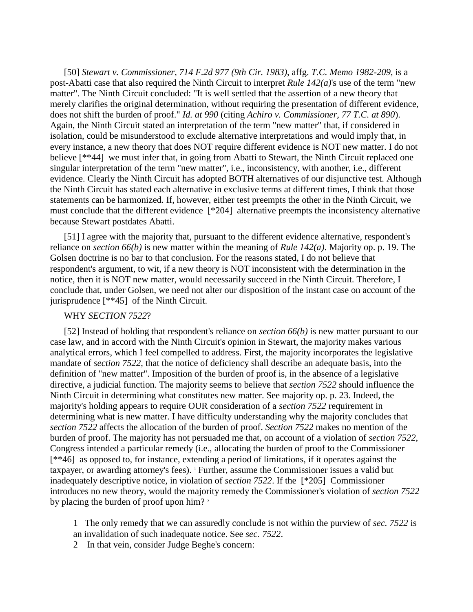[50] *Stewart v. Commissioner, 714 F.2d 977 (9th Cir. 1983)*, affg. *T.C. Memo 1982-209*, is a post-Abatti case that also required the Ninth Circuit to interpret *Rule 142(a)*'s use of the term "new matter". The Ninth Circuit concluded: "It is well settled that the assertion of a new theory that merely clarifies the original determination, without requiring the presentation of different evidence, does not shift the burden of proof." *Id. at 990* (citing *Achiro v. Commissioner, 77 T.C. at 890*). Again, the Ninth Circuit stated an interpretation of the term "new matter" that, if considered in isolation, could be misunderstood to exclude alternative interpretations and would imply that, in every instance, a new theory that does NOT require different evidence is NOT new matter. I do not believe [\*\*44] we must infer that, in going from Abatti to Stewart, the Ninth Circuit replaced one singular interpretation of the term "new matter", i.e., inconsistency, with another, i.e., different evidence. Clearly the Ninth Circuit has adopted BOTH alternatives of our disjunctive test. Although the Ninth Circuit has stated each alternative in exclusive terms at different times, I think that those statements can be harmonized. If, however, either test preempts the other in the Ninth Circuit, we must conclude that the different evidence [\*204] alternative preempts the inconsistency alternative because Stewart postdates Abatti.

[51] I agree with the majority that, pursuant to the different evidence alternative, respondent's reliance on *section 66(b)* is new matter within the meaning of *Rule 142(a)*. Majority op. p. 19. The Golsen doctrine is no bar to that conclusion. For the reasons stated, I do not believe that respondent's argument, to wit, if a new theory is NOT inconsistent with the determination in the notice, then it is NOT new matter, would necessarily succeed in the Ninth Circuit. Therefore, I conclude that, under Golsen, we need not alter our disposition of the instant case on account of the jurisprudence [\*\*45] of the Ninth Circuit.

#### WHY *SECTION 7522*?

[52] Instead of holding that respondent's reliance on *section 66(b)* is new matter pursuant to our case law, and in accord with the Ninth Circuit's opinion in Stewart, the majority makes various analytical errors, which I feel compelled to address. First, the majority incorporates the legislative mandate of *section 7522*, that the notice of deficiency shall describe an adequate basis, into the definition of "new matter". Imposition of the burden of proof is, in the absence of a legislative directive, a judicial function. The majority seems to believe that *section 7522* should influence the Ninth Circuit in determining what constitutes new matter. See majority op. p. 23. Indeed, the majority's holding appears to require OUR consideration of a *section 7522* requirement in determining what is new matter. I have difficulty understanding why the majority concludes that *section 7522* affects the allocation of the burden of proof. *Section 7522* makes no mention of the burden of proof. The majority has not persuaded me that, on account of a violation of *section 7522*, Congress intended a particular remedy (i.e., allocating the burden of proof to the Commissioner [\*\*46] as opposed to, for instance, extending a period of limitations, if it operates against the taxpayer, or awarding attorney's fees). <sup>1</sup> Further, assume the Commissioner issues a valid but inadequately descriptive notice, in violation of *section 7522*. If the [\*205] Commissioner introduces no new theory, would the majority remedy the Commissioner's violation of *section 7522* by placing the burden of proof upon him?<sup>2</sup>

1 The only remedy that we can assuredly conclude is not within the purview of *sec. 7522* is an invalidation of such inadequate notice. See *sec. 7522*.

2 In that vein, consider Judge Beghe's concern: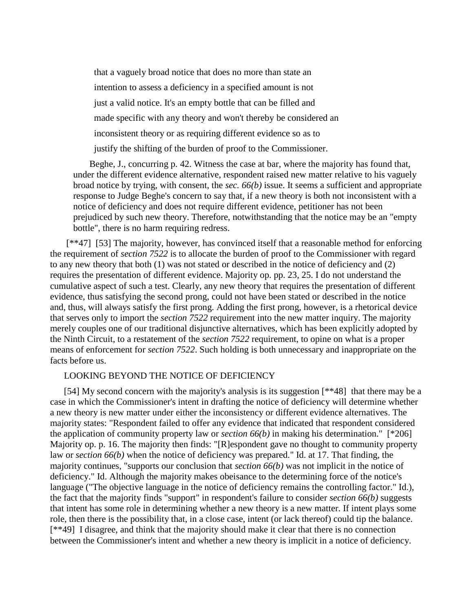that a vaguely broad notice that does no more than state an intention to assess a deficiency in a specified amount is not just a valid notice. It's an empty bottle that can be filled and made specific with any theory and won't thereby be considered an inconsistent theory or as requiring different evidence so as to justify the shifting of the burden of proof to the Commissioner.

Beghe, J., concurring p. 42. Witness the case at bar, where the majority has found that, under the different evidence alternative, respondent raised new matter relative to his vaguely broad notice by trying, with consent, the *sec. 66(b)* issue. It seems a sufficient and appropriate response to Judge Beghe's concern to say that, if a new theory is both not inconsistent with a notice of deficiency and does not require different evidence, petitioner has not been prejudiced by such new theory. Therefore, notwithstanding that the notice may be an "empty bottle", there is no harm requiring redress.

[\*\*47] [53] The majority, however, has convinced itself that a reasonable method for enforcing the requirement of *section 7522* is to allocate the burden of proof to the Commissioner with regard to any new theory that both (1) was not stated or described in the notice of deficiency and (2) requires the presentation of different evidence. Majority op. pp. 23, 25. I do not understand the cumulative aspect of such a test. Clearly, any new theory that requires the presentation of different evidence, thus satisfying the second prong, could not have been stated or described in the notice and, thus, will always satisfy the first prong. Adding the first prong, however, is a rhetorical device that serves only to import the *section 7522* requirement into the new matter inquiry. The majority merely couples one of our traditional disjunctive alternatives, which has been explicitly adopted by the Ninth Circuit, to a restatement of the *section 7522* requirement, to opine on what is a proper means of enforcement for *section 7522*. Such holding is both unnecessary and inappropriate on the facts before us.

## LOOKING BEYOND THE NOTICE OF DEFICIENCY

[54] My second concern with the majority's analysis is its suggestion [\*\*48] that there may be a case in which the Commissioner's intent in drafting the notice of deficiency will determine whether a new theory is new matter under either the inconsistency or different evidence alternatives. The majority states: "Respondent failed to offer any evidence that indicated that respondent considered the application of community property law or *section 66(b)* in making his determination." [\*206] Majority op. p. 16. The majority then finds: "[R]espondent gave no thought to community property law or *section 66(b)* when the notice of deficiency was prepared." Id. at 17. That finding, the majority continues, "supports our conclusion that *section 66(b)* was not implicit in the notice of deficiency." Id. Although the majority makes obeisance to the determining force of the notice's language ("The objective language in the notice of deficiency remains the controlling factor." Id.), the fact that the majority finds "support" in respondent's failure to consider *section 66(b)* suggests that intent has some role in determining whether a new theory is a new matter. If intent plays some role, then there is the possibility that, in a close case, intent (or lack thereof) could tip the balance. [\*\*49] I disagree, and think that the majority should make it clear that there is no connection between the Commissioner's intent and whether a new theory is implicit in a notice of deficiency.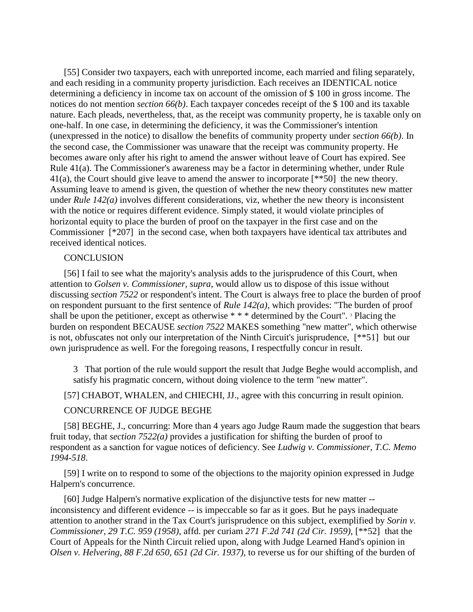[55] Consider two taxpayers, each with unreported income, each married and filing separately, and each residing in a community property jurisdiction. Each receives an IDENTICAL notice determining a deficiency in income tax on account of the omission of \$ 100 in gross income. The notices do not mention *section 66(b)*. Each taxpayer concedes receipt of the \$ 100 and its taxable nature. Each pleads, nevertheless, that, as the receipt was community property, he is taxable only on one-half. In one case, in determining the deficiency, it was the Commissioner's intention (unexpressed in the notice) to disallow the benefits of community property under *section 66(b)*. In the second case, the Commissioner was unaware that the receipt was community property. He becomes aware only after his right to amend the answer without leave of Court has expired. See Rule 41(a). The Commissioner's awareness may be a factor in determining whether, under Rule 41(a), the Court should give leave to amend the answer to incorporate [\*\*50] the new theory. Assuming leave to amend is given, the question of whether the new theory constitutes new matter under *Rule 142(a)* involves different considerations, viz, whether the new theory is inconsistent with the notice or requires different evidence. Simply stated, it would violate principles of horizontal equity to place the burden of proof on the taxpayer in the first case and on the Commissioner [\*207] in the second case, when both taxpayers have identical tax attributes and received identical notices.

#### **CONCLUSION**

[56] I fail to see what the majority's analysis adds to the jurisprudence of this Court, when attention to *Golsen v. Commissioner, supra*, would allow us to dispose of this issue without discussing *section 7522* or respondent's intent. The Court is always free to place the burden of proof on respondent pursuant to the first sentence of *Rule 142(a)*, which provides: "The burden of proof shall be upon the petitioner, except as otherwise  $**$  \* determined by the Court". <sup>3</sup> Placing the burden on respondent BECAUSE *section 7522* MAKES something "new matter", which otherwise is not, obfuscates not only our interpretation of the Ninth Circuit's jurisprudence, [\*\*51] but our own jurisprudence as well. For the foregoing reasons, I respectfully concur in result.

3 That portion of the rule would support the result that Judge Beghe would accomplish, and satisfy his pragmatic concern, without doing violence to the term "new matter".

[57] CHABOT, WHALEN, and CHIECHI, JJ., agree with this concurring in result opinion.

#### CONCURRENCE OF JUDGE BEGHE

[58] BEGHE, J., concurring: More than 4 years ago Judge Raum made the suggestion that bears fruit today, that *section 7522(a)* provides a justification for shifting the burden of proof to respondent as a sanction for vague notices of deficiency. See *Ludwig v. Commissioner, T.C. Memo 1994-518*.

[59] I write on to respond to some of the objections to the majority opinion expressed in Judge Halpern's concurrence.

[60] Judge Halpern's normative explication of the disjunctive tests for new matter - inconsistency and different evidence -- is impeccable so far as it goes. But he pays inadequate attention to another strand in the Tax Court's jurisprudence on this subject, exemplified by *Sorin v. Commissioner, 29 T.C. 959 (1958)*, affd. per curiam *271 F.2d 741 (2d Cir. 1959)*, [\*\*52] that the Court of Appeals for the Ninth Circuit relied upon, along with Judge Learned Hand's opinion in *Olsen v. Helvering, 88 F.2d 650, 651 (2d Cir. 1937)*, to reverse us for our shifting of the burden of